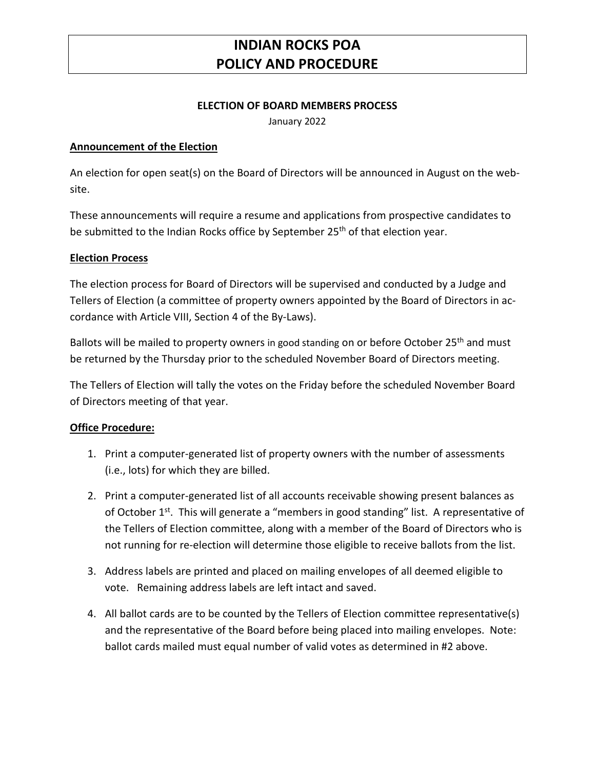### **INDIAN ROCKS POA POLICY AND PROCEDURE**

#### **ELECTION OF BOARD MEMBERS PROCESS**

January 2022

### **Announcement of the Election**

An election for open seat(s) on the Board of Directors will be announced in August on the website.

These announcements will require a resume and applications from prospective candidates to be submitted to the Indian Rocks office by September 25<sup>th</sup> of that election year.

#### **Election Process**

The election process for Board of Directors will be supervised and conducted by a Judge and Tellers of Election (a committee of property owners appointed by the Board of Directors in accordance with Article VIII, Section 4 of the By-Laws).

Ballots will be mailed to property owners in good standing on or before October 25<sup>th</sup> and must be returned by the Thursday prior to the scheduled November Board of Directors meeting.

The Tellers of Election will tally the votes on the Friday before the scheduled November Board of Directors meeting of that year.

#### **Office Procedure:**

- 1. Print a computer-generated list of property owners with the number of assessments (i.e., lots) for which they are billed.
- 2. Print a computer-generated list of all accounts receivable showing present balances as of October 1<sup>st</sup>. This will generate a "members in good standing" list. A representative of the Tellers of Election committee, along with a member of the Board of Directors who is not running for re-election will determine those eligible to receive ballots from the list.
- 3. Address labels are printed and placed on mailing envelopes of all deemed eligible to vote. Remaining address labels are left intact and saved.
- 4. All ballot cards are to be counted by the Tellers of Election committee representative(s) and the representative of the Board before being placed into mailing envelopes. Note: ballot cards mailed must equal number of valid votes as determined in #2 above.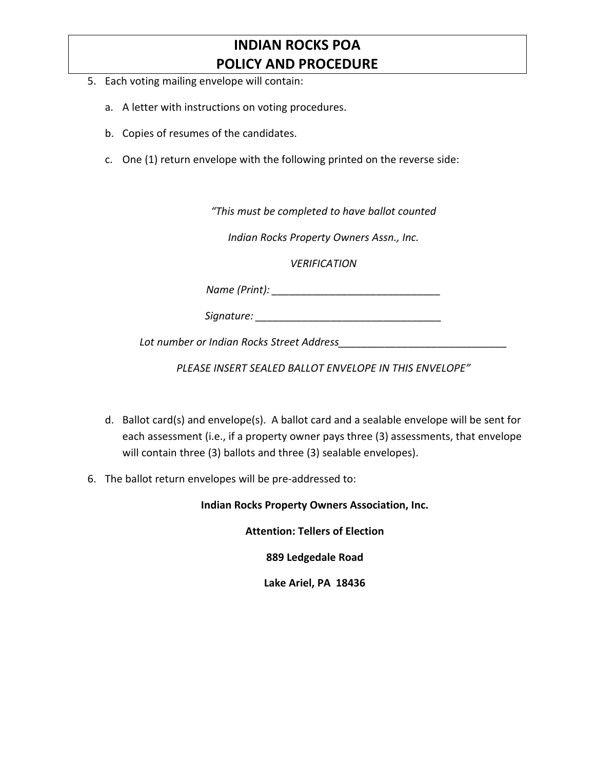# **INDIAN ROCKS POA POLICY AND PROCEDURE**

- 5. Each voting mailing envelope will contain:
	- a. A letter with instructions on voting procedures.
	- b. Copies of resumes of the candidates.
	- c. One (1) return envelope with the following printed on the reverse side:

*"This must be completed to have ballot counted*

*Indian Rocks Property Owners Assn., Inc.*

*VERIFICATION*

*Name (Print): \_\_\_\_\_\_\_\_\_\_\_\_\_\_\_\_\_\_\_\_\_\_\_\_\_\_\_\_\_*

*Signature: \_\_\_\_\_\_\_\_\_\_\_\_\_\_\_\_\_\_\_\_\_\_\_\_\_\_\_\_\_\_\_\_*

*Lot number or Indian Rocks Street Address\_\_\_\_\_\_\_\_\_\_\_\_\_\_\_\_\_\_\_\_\_\_\_\_\_\_\_\_\_*

*PLEASE INSERT SEALED BALLOT ENVELOPE IN THIS ENVELOPE"*

- d. Ballot card(s) and envelope(s). A ballot card and a sealable envelope will be sent for each assessment (i.e., if a property owner pays three (3) assessments, that envelope will contain three (3) ballots and three (3) sealable envelopes).
- 6. The ballot return envelopes will be pre-addressed to:

**Indian Rocks Property Owners Association, Inc.**

**Attention: Tellers of Election**

**889 Ledgedale Road**

**Lake Ariel, PA 18436**